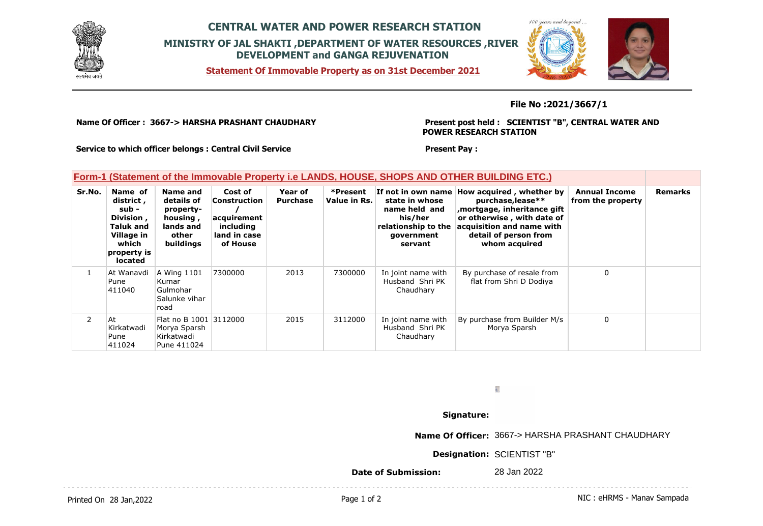

# **CENTRAL WATER AND POWER RESEARCH STATION MINISTRY OF JAL SHAKTI ,DEPARTMENT OF WATER RESOURCES ,RIVER DEVELOPMENT and GANGA REJUVENATION**

**Statement Of Immovable Property as on 31st December 2021**



## **File No :2021/3667/1**

**Name Of Officer : 3667-> HARSHA PRASHANT CHAUDHARY** 

**Present post held : SCIENTIST "B", CENTRAL WATER AND POWER RESEARCH STATION**

**Service to which officer belongs : Central Civil Service**

#### **Present Pay :**

# **Form-1 (Statement of the Immovable Property i.e LANDS, HOUSE, SHOPS AND OTHER BUILDING ETC.)**

| Sr.No.         | Name of<br>district,<br>sub -<br>Division,<br><b>Taluk and</b><br>Village in<br>which<br>property is<br><b>located</b> | Name and<br>details of<br>property-<br>housing,<br>lands and<br>other<br>buildings | Cost of<br>Construction<br>acquirement<br>including<br>land in case<br>of House | Year of<br><b>Purchase</b> | *Present<br>Value in Rs. | state in whose<br>name held and<br>his/her<br>relationship to the<br>government<br>servant | If not in own name How acquired, whether by<br>purchase, lease**<br>mortgage, inheritance gift,<br>or otherwise, with date of<br>acquisition and name with<br>detail of person from<br>whom acquired | <b>Annual Income</b><br>from the property | <b>Remarks</b> |
|----------------|------------------------------------------------------------------------------------------------------------------------|------------------------------------------------------------------------------------|---------------------------------------------------------------------------------|----------------------------|--------------------------|--------------------------------------------------------------------------------------------|------------------------------------------------------------------------------------------------------------------------------------------------------------------------------------------------------|-------------------------------------------|----------------|
|                | At Wanavdi<br>Pune<br>411040                                                                                           | A Wing 1101<br>Kumar<br>Gulmohar<br>Salunke vihar<br>road                          | 7300000                                                                         | 2013                       | 7300000                  | In joint name with<br>Husband Shri PK<br>Chaudhary                                         | By purchase of resale from<br>flat from Shri D Dodiya                                                                                                                                                | $\Omega$                                  |                |
| $\overline{2}$ | At<br>Kirkatwadi<br>Pune<br>411024                                                                                     | Flat no B 1001 3112000<br>Morya Sparsh<br>Kirkatwadi<br>Pune 411024                |                                                                                 | 2015                       | 3112000                  | In joint name with<br>Husband Shri PK<br>Chaudhary                                         | By purchase from Builder M/s<br>Morya Sparsh                                                                                                                                                         | $\Omega$                                  |                |

 $\frac{1}{2}$ 

### **Signature:**

**Name Of Officer:** 3667-> HARSHA PRASHANT CHAUDHARY

**Designation:** SCIENTIST "B"

**Date of Submission:** 28 Jan 2022